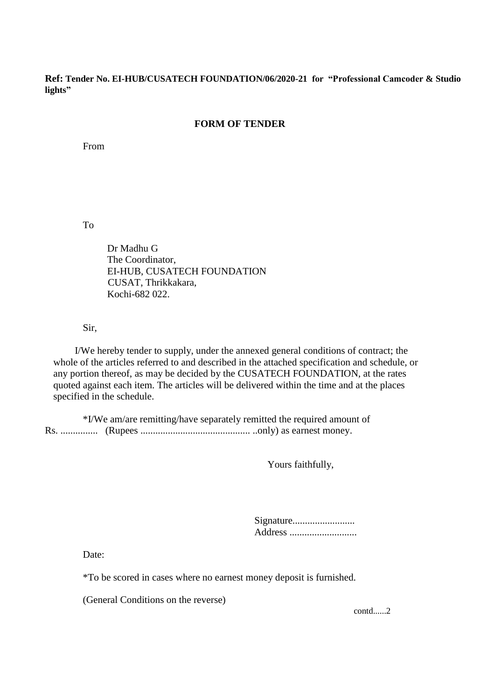**Ref: Tender No. EI-HUB/CUSATECH FOUNDATION/06/2020-21 for "Professional Camcoder & Studio lights"**

## **FORM OF TENDER**

From

To

Dr Madhu G The Coordinator, EI-HUB, CUSATECH FOUNDATION CUSAT, Thrikkakara, Kochi-682 022.

Sir,

I/We hereby tender to supply, under the annexed general conditions of contract; the whole of the articles referred to and described in the attached specification and schedule, or any portion thereof, as may be decided by the CUSATECH FOUNDATION, at the rates quoted against each item. The articles will be delivered within the time and at the places specified in the schedule.

\*I/We am/are remitting/have separately remitted the required amount of Rs. ............... (Rupees ............................................ ..only) as earnest money.

Yours faithfully,

| Signature |  |
|-----------|--|
| Address   |  |

Date:

\*To be scored in cases where no earnest money deposit is furnished.

(General Conditions on the reverse)

contd......2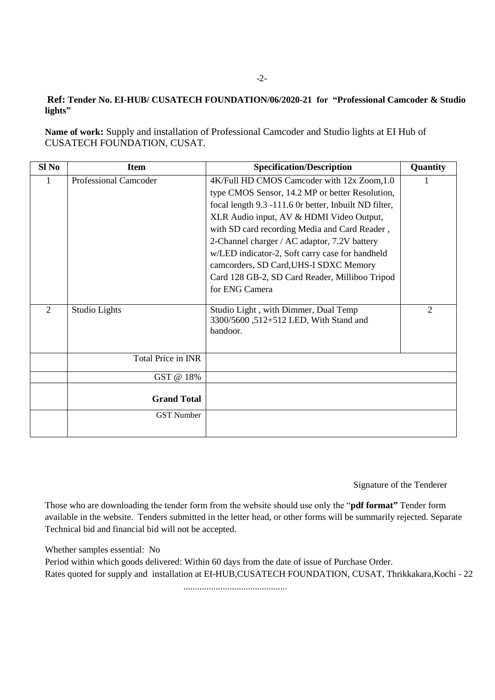## **Ref: Tender No. EI-HUB/ CUSATECH FOUNDATION/06/2020-21 for "Professional Camcoder & Studio lights"**

**Name of work:** Supply and installation of Professional Camcoder and Studio lights at EI Hub of CUSATECH FOUNDATION, CUSAT.

| Sl No          | <b>Item</b>                  | <b>Specification/Description</b>                      | Quantity |
|----------------|------------------------------|-------------------------------------------------------|----------|
|                | <b>Professional Camcoder</b> | 4K/Full HD CMOS Camcoder with 12x Zoom, 1.0           |          |
|                |                              | type CMOS Sensor, 14.2 MP or better Resolution,       |          |
|                |                              | focal length 9.3 -111.6 Or better, Inbuilt ND filter, |          |
|                |                              | XLR Audio input, AV & HDMI Video Output,              |          |
|                |                              | with SD card recording Media and Card Reader,         |          |
|                |                              | 2-Channel charger / AC adaptor, 7.2V battery          |          |
|                |                              | w/LED indicator-2, Soft carry case for handheld       |          |
|                |                              | camcorders, SD Card, UHS-I SDXC Memory                |          |
|                |                              | Card 128 GB-2, SD Card Reader, Milliboo Tripod        |          |
|                |                              | for ENG Camera                                        |          |
| $\overline{2}$ | Studio Lights                | Studio Light, with Dimmer, Dual Temp                  | 2        |
|                |                              | 3300/5600, 512+512 LED, With Stand and                |          |
|                |                              | bandoor.                                              |          |
|                |                              |                                                       |          |
|                | Total Price in INR           |                                                       |          |
|                | GST @ 18%                    |                                                       |          |
|                |                              |                                                       |          |
|                | <b>Grand Total</b>           |                                                       |          |
|                | <b>GST Number</b>            |                                                       |          |
|                |                              |                                                       |          |

Signature of the Tenderer

Those who are downloading the tender form from the website should use only the "**pdf format"** Tender form available in the website. Tenders submitted in the letter head, or other forms will be summarily rejected. Separate Technical bid and financial bid will not be accepted.

Whether samples essential: No

Period within which goods delivered: Within 60 days from the date of issue of Purchase Order. Rates quoted for supply and installation at EI-HUB,CUSATECH FOUNDATION, CUSAT, Thrikkakara,Kochi - 22

.............................................